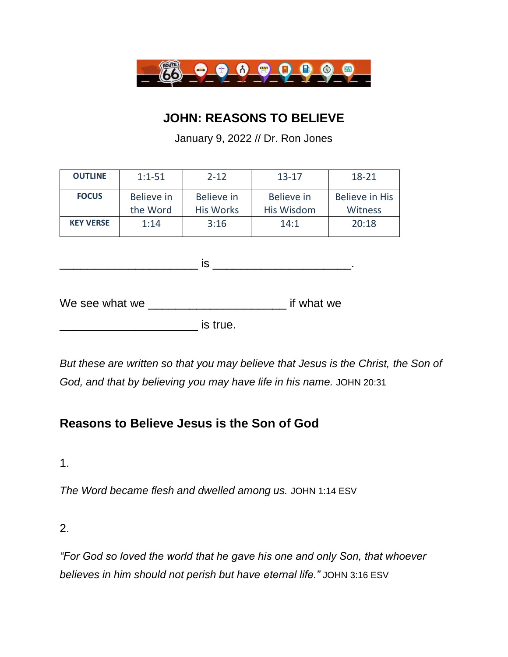

## **JOHN: REASONS TO BELIEVE**

January 9, 2022 // Dr. Ron Jones

| <b>OUTLINE</b>   | $1:1-51$               | $2 - 12$                       | $13 - 17$                | 18-21                                   |
|------------------|------------------------|--------------------------------|--------------------------|-----------------------------------------|
| <b>FOCUS</b>     | Believe in<br>the Word | Believe in<br><b>His Works</b> | Believe in<br>His Wisdom | <b>Believe in His</b><br><b>Witness</b> |
| <b>KEY VERSE</b> | 1:14                   | 3:16                           | 14:1                     | 20:18                                   |

 $\blacksquare$  is  $\blacksquare$ 

We see what we \_\_\_\_\_\_\_\_\_\_\_\_\_\_\_\_\_\_\_\_\_\_\_\_\_\_\_\_\_ if what we

 $\blacksquare$  is true.

*But these are written so that you may believe that Jesus is the Christ, the Son of God, and that by believing you may have life in his name.* JOHN 20:31

# **Reasons to Believe Jesus is the Son of God**

1.

*The Word became flesh and dwelled among us.* JOHN 1:14 ESV

2.

*"For God so loved the world that he gave his one and only Son, that whoever believes in him should not perish but have eternal life."* JOHN 3:16 ESV